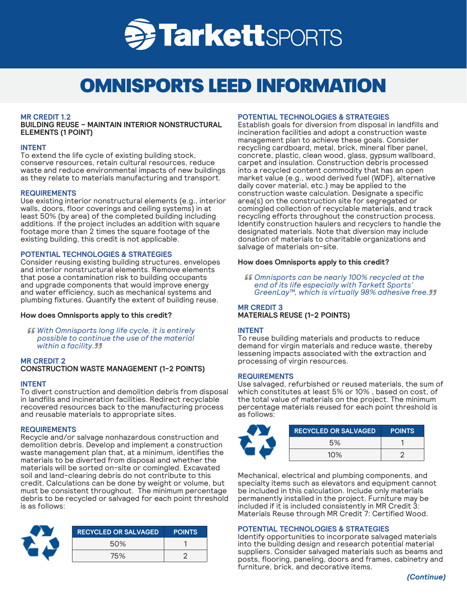

# OMNISPORTS LEED INFORMATION

# **MR CREDIT 1.2**

**BUILDING REUSE – MAINTAIN INTERIOR NONSTRUCTURAL ELEMENTS (1 POINT)**

## **INTENT**

To extend the life cycle of existing building stock, conserve resources, retain cultural resources, reduce waste and reduce environmental impacts of new buildings as they relate to materials manufacturing and transport.

# **REQUIREMENTS**

Use existing interior nonstructural elements (e.g., interior walls, doors, floor coverings and ceiling systems) in at least 50% (by area) of the completed building including additions. If the project includes an addition with square footage more than 2 times the square footage of the existing building, this credit is not applicable.

# **POTENTIAL TECHNOLOGIES & STRATEGIES**

Consider reusing existing building structures, envelopes and interior nonstructural elements. Remove elements that pose a contamination risk to building occupants and upgrade components that would improve energy and water efficiency, such as mechanical systems and plumbing fixtures. Quantify the extent of building reuse.

# **How does Omnisports apply to this credit?**

*With Omnisports long life cycle, it is entirely possible to continue the use of the material within a facility.*

## **MR CREDIT 2 CONSTRUCTION WASTE MANAGEMENT (1-2 POINTS)**

# **INTENT**

To divert construction and demolition debris from disposal in landfills and incineration facilities. Redirect recyclable recovered resources back to the manufacturing process and reusable materials to appropriate sites.

# **REQUIREMENTS**

Recycle and/or salvage nonhazardous construction and demolition debris. Develop and implement a construction waste management plan that, at a minimum, identifies the materials to be diverted from disposal and whether the materials will be sorted on-site or comingled. Excavated soil and land-clearing debris do not contribute to this credit. Calculations can be done by weight or volume, but must be consistent throughout. The minimum percentage debris to be recycled or salvaged for each point threshold is as follows:



| <b>RECYCLED OR SALVAGED</b> | <b>POINTS</b> |
|-----------------------------|---------------|
| 50%                         |               |
| 75%                         |               |

## **POTENTIAL TECHNOLOGIES & STRATEGIES**

Establish goals for diversion from disposal in landfills and incineration facilities and adopt a construction waste management plan to achieve these goals. Consider recycling cardboard, metal, brick, mineral fiber panel, concrete, plastic, clean wood, glass, gypsum wallboard, carpet and insulation. Construction debris processed into a recycled content commodity that has an open market value (e.g., wood derived fuel (WDF), alternative daily cover material, etc.) may be applied to the construction waste calculation. Designate a specific area(s) on the construction site for segregated or comingled collection of recyclable materials, and track recycling efforts throughout the construction process. Identify construction haulers and recyclers to handle the designated materials. Note that diversion may include donation of materials to charitable organizations and salvage of materials on-site.

# **How does Omnisports apply to this credit?**

*Omnisports can be nearly 100% recycled at the end of its life especially with Tarkett Sports' GreenLay™, which is virtually 98% adhesive free.*

# **MR CREDIT 3 MATERIALS REUSE (1-2 POINTS)**

# **INTENT**

To reuse building materials and products to reduce demand for virgin materials and reduce waste, thereby lessening impacts associated with the extraction and processing of virgin resources.

## **REQUIREMENTS**

Use salvaged, refurbished or reused materials, the sum of which constitutes at least 5% or 10% , based on cost, of the total value of materials on the project. The minimum percentage materials reused for each point threshold is as follows:

| <b>RECYCLED OR SALVAGED</b> | <b>POINTS</b> |
|-----------------------------|---------------|
| 5%                          |               |
| 10%                         |               |

Mechanical, electrical and plumbing components, and specialty items such as elevators and equipment cannot be included in this calculation. Include only materials permanently installed in the project. Furniture may be included if it is included consistently in MR Credit 3: Materials Reuse through MR Credit 7: Certified Wood.

# **POTENTIAL TECHNOLOGIES & STRATEGIES**

Identify opportunities to incorporate salvaged materials into the building design and research potential material suppliers. Consider salvaged materials such as beams and posts, flooring, paneling, doors and frames, cabinetry and furniture, brick, and decorative items.